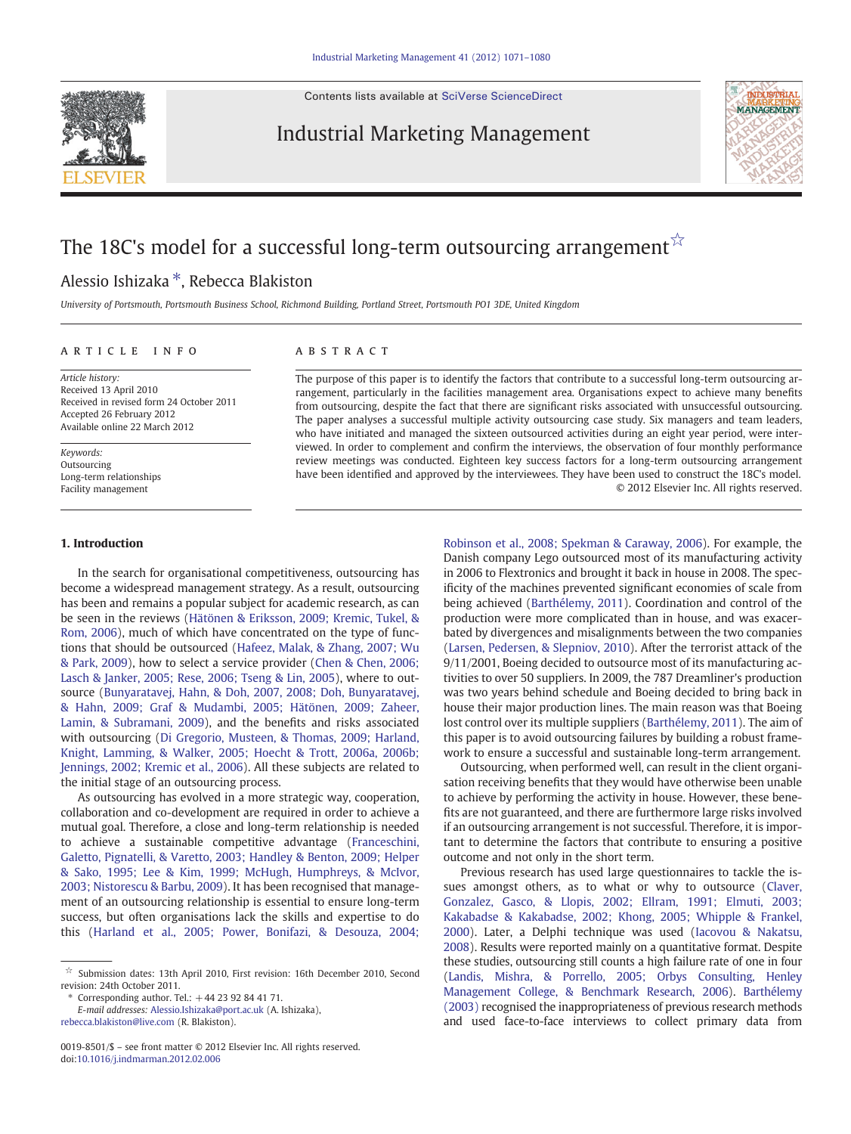Contents lists available at [SciVerse ScienceDirect](http://www.sciencedirect.com/science/journal/00198501)

Industrial Marketing Management



# The 18C's model for a successful long-term outsourcing arrangement  $\hat{x}$

## Alessio Ishizaka ⁎, Rebecca Blakiston

University of Portsmouth, Portsmouth Business School, Richmond Building, Portland Street, Portsmouth PO1 3DE, United Kingdom

#### article info abstract

Article history: Received 13 April 2010 Received in revised form 24 October 2011 Accepted 26 February 2012 Available online 22 March 2012

Keywords: Outsourcing Long-term relationships Facility management

#### 1. Introduction

The purpose of this paper is to identify the factors that contribute to a successful long-term outsourcing arrangement, particularly in the facilities management area. Organisations expect to achieve many benefits from outsourcing, despite the fact that there are significant risks associated with unsuccessful outsourcing. The paper analyses a successful multiple activity outsourcing case study. Six managers and team leaders, who have initiated and managed the sixteen outsourced activities during an eight year period, were interviewed. In order to complement and confirm the interviews, the observation of four monthly performance review meetings was conducted. Eighteen key success factors for a long-term outsourcing arrangement have been identified and approved by the interviewees. They have been used to construct the 18C's model. © 2012 Elsevier Inc. All rights reserved.

In the search for organisational competitiveness, outsourcing has become a widespread management strategy. As a result, outsourcing has been and remains a popular subject for academic research, as can be seen in the reviews [\(Hätönen & Eriksson, 2009; Kremic, Tukel, &](#page--1-0) [Rom, 2006\)](#page--1-0), much of which have concentrated on the type of functions that should be outsourced ([Hafeez, Malak, & Zhang, 2007; Wu](#page--1-0) [& Park, 2009](#page--1-0)), how to select a service provider ([Chen & Chen, 2006;](#page--1-0) [Lasch & Janker, 2005; Rese, 2006; Tseng & Lin, 2005\)](#page--1-0), where to outsource ([Bunyaratavej, Hahn, & Doh, 2007, 2008; Doh, Bunyaratavej,](#page--1-0) [& Hahn, 2009; Graf & Mudambi, 2005; Hätönen, 2009; Zaheer,](#page--1-0) [Lamin, & Subramani, 2009\)](#page--1-0), and the benefits and risks associated with outsourcing [\(Di Gregorio, Musteen, & Thomas, 2009; Harland,](#page--1-0) [Knight, Lamming, & Walker, 2005; Hoecht & Trott, 2006a, 2006b;](#page--1-0) [Jennings, 2002; Kremic et al., 2006](#page--1-0)). All these subjects are related to the initial stage of an outsourcing process.

As outsourcing has evolved in a more strategic way, cooperation, collaboration and co-development are required in order to achieve a mutual goal. Therefore, a close and long-term relationship is needed to achieve a sustainable competitive advantage [\(Franceschini,](#page--1-0) [Galetto, Pignatelli, & Varetto, 2003; Handley & Benton, 2009; Helper](#page--1-0) [& Sako, 1995; Lee & Kim, 1999; McHugh, Humphreys, & McIvor,](#page--1-0) [2003; Nistorescu & Barbu, 2009\)](#page--1-0). It has been recognised that management of an outsourcing relationship is essential to ensure long-term success, but often organisations lack the skills and expertise to do this [\(Harland et al., 2005; Power, Bonifazi, & Desouza, 2004;](#page--1-0)

Corresponding author. Tel.:  $+44$  23 92 84 41 71.

[Robinson et al., 2008; Spekman & Caraway, 2006\)](#page--1-0). For example, the Danish company Lego outsourced most of its manufacturing activity in 2006 to Flextronics and brought it back in house in 2008. The specificity of the machines prevented significant economies of scale from being achieved ([Barthélemy, 2011\)](#page--1-0). Coordination and control of the production were more complicated than in house, and was exacerbated by divergences and misalignments between the two companies [\(Larsen, Pedersen, & Slepniov, 2010\)](#page--1-0). After the terrorist attack of the 9/11/2001, Boeing decided to outsource most of its manufacturing activities to over 50 suppliers. In 2009, the 787 Dreamliner's production was two years behind schedule and Boeing decided to bring back in house their major production lines. The main reason was that Boeing lost control over its multiple suppliers ([Barthélemy, 2011\)](#page--1-0). The aim of this paper is to avoid outsourcing failures by building a robust framework to ensure a successful and sustainable long-term arrangement.

Outsourcing, when performed well, can result in the client organisation receiving benefits that they would have otherwise been unable to achieve by performing the activity in house. However, these benefits are not guaranteed, and there are furthermore large risks involved if an outsourcing arrangement is not successful. Therefore, it is important to determine the factors that contribute to ensuring a positive outcome and not only in the short term.

Previous research has used large questionnaires to tackle the issues amongst others, as to what or why to outsource ([Claver,](#page--1-0) [Gonzalez, Gasco, & Llopis, 2002; Ellram, 1991; Elmuti, 2003;](#page--1-0) [Kakabadse & Kakabadse, 2002; Khong, 2005; Whipple & Frankel,](#page--1-0) [2000\)](#page--1-0). Later, a Delphi technique was used [\(Iacovou & Nakatsu,](#page--1-0) [2008\)](#page--1-0). Results were reported mainly on a quantitative format. Despite these studies, outsourcing still counts a high failure rate of one in four [\(Landis, Mishra, & Porrello, 2005; Orbys Consulting, Henley](#page--1-0) [Management College, & Benchmark Research, 2006\)](#page--1-0). [Barthélemy](#page--1-0) [\(2003\)](#page--1-0) recognised the inappropriateness of previous research methods and used face-to-face interviews to collect primary data from

<sup>☆</sup> Submission dates: 13th April 2010, First revision: 16th December 2010, Second revision: 24th October 2011.

E-mail addresses: [Alessio.Ishizaka@port.ac.uk](mailto:Alessio.Ishizaka@port.ac.uk) (A. Ishizaka), [rebecca.blakiston@live.com](mailto:rebecca.blakiston@live.com) (R. Blakiston).

<sup>0019-8501/\$</sup> – see front matter © 2012 Elsevier Inc. All rights reserved. doi:[10.1016/j.indmarman.2012.02.006](http://dx.doi.org/10.1016/j.indmarman.2012.02.006)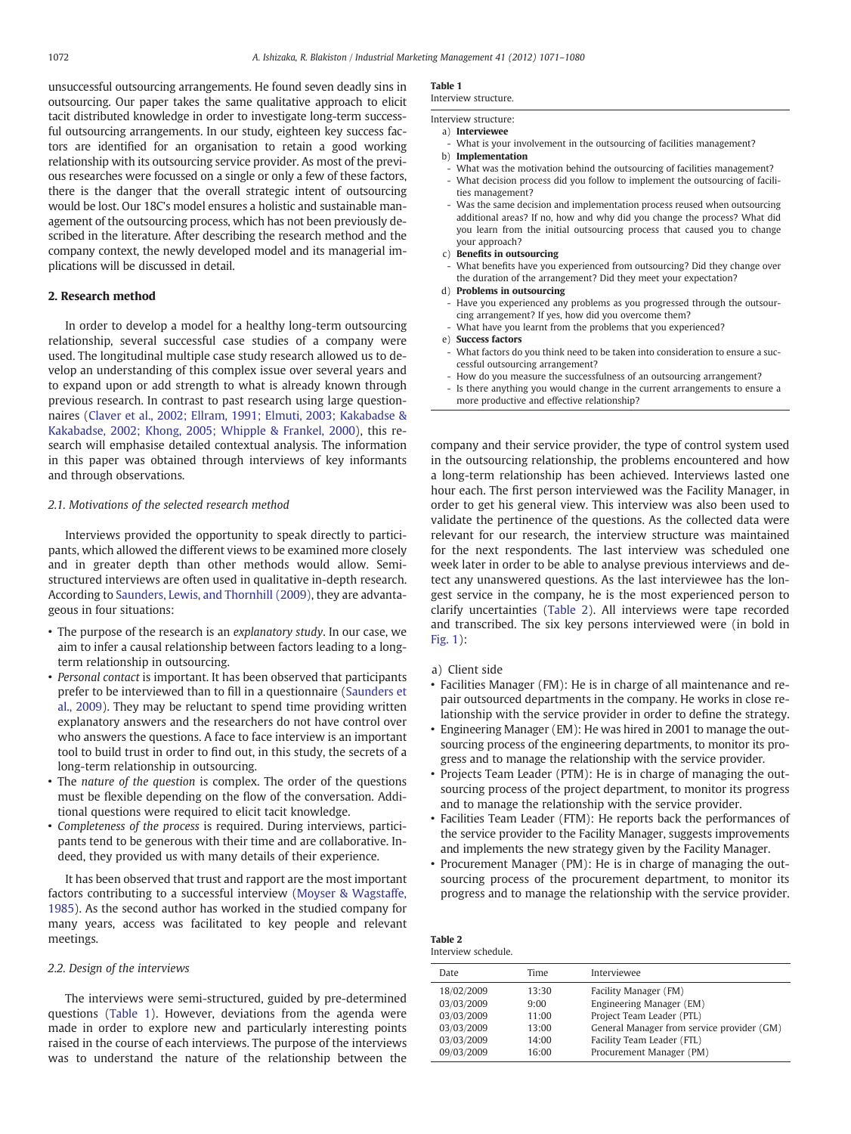unsuccessful outsourcing arrangements. He found seven deadly sins in outsourcing. Our paper takes the same qualitative approach to elicit tacit distributed knowledge in order to investigate long-term successful outsourcing arrangements. In our study, eighteen key success factors are identified for an organisation to retain a good working relationship with its outsourcing service provider. As most of the previous researches were focussed on a single or only a few of these factors, there is the danger that the overall strategic intent of outsourcing would be lost. Our 18C's model ensures a holistic and sustainable management of the outsourcing process, which has not been previously described in the literature. After describing the research method and the company context, the newly developed model and its managerial implications will be discussed in detail.

### 2. Research method

In order to develop a model for a healthy long-term outsourcing relationship, several successful case studies of a company were used. The longitudinal multiple case study research allowed us to develop an understanding of this complex issue over several years and to expand upon or add strength to what is already known through previous research. In contrast to past research using large questionnaires [\(Claver et al., 2002; Ellram, 1991; Elmuti, 2003; Kakabadse &](#page--1-0) [Kakabadse, 2002; Khong, 2005; Whipple & Frankel, 2000\)](#page--1-0), this research will emphasise detailed contextual analysis. The information in this paper was obtained through interviews of key informants and through observations.

#### 2.1. Motivations of the selected research method

Interviews provided the opportunity to speak directly to participants, which allowed the different views to be examined more closely and in greater depth than other methods would allow. Semistructured interviews are often used in qualitative in-depth research. According to [Saunders, Lewis, and Thornhill \(2009\),](#page--1-0) they are advantageous in four situations:

- The purpose of the research is an explanatory study. In our case, we aim to infer a causal relationship between factors leading to a longterm relationship in outsourcing.
- Personal contact is important. It has been observed that participants prefer to be interviewed than to fill in a questionnaire [\(Saunders et](#page--1-0) [al., 2009](#page--1-0)). They may be reluctant to spend time providing written explanatory answers and the researchers do not have control over who answers the questions. A face to face interview is an important tool to build trust in order to find out, in this study, the secrets of a long-term relationship in outsourcing.
- The nature of the question is complex. The order of the questions must be flexible depending on the flow of the conversation. Additional questions were required to elicit tacit knowledge.
- Completeness of the process is required. During interviews, participants tend to be generous with their time and are collaborative. Indeed, they provided us with many details of their experience.

It has been observed that trust and rapport are the most important factors contributing to a successful interview ([Moyser & Wagstaffe,](#page--1-0) [1985\)](#page--1-0). As the second author has worked in the studied company for many years, access was facilitated to key people and relevant meetings.

#### 2.2. Design of the interviews

The interviews were semi-structured, guided by pre-determined questions (Table 1). However, deviations from the agenda were made in order to explore new and particularly interesting points raised in the course of each interviews. The purpose of the interviews was to understand the nature of the relationship between the

#### Table 1

Interview structure.

### Interview structure:

a) Interviewee What is your involvement in the outsourcing of facilities management?

- b) Implementation
- What was the motivation behind the outsourcing of facilities management?
- What decision process did you follow to implement the outsourcing of facilities management?
- Was the same decision and implementation process reused when outsourcing additional areas? If no, how and why did you change the process? What did you learn from the initial outsourcing process that caused you to change your approach?
- c) Benefits in outsourcing
- What benefits have you experienced from outsourcing? Did they change over the duration of the arrangement? Did they meet your expectation?
- d) Problems in outsourcing
- Have you experienced any problems as you progressed through the outsourcing arrangement? If yes, how did you overcome them?
- What have you learnt from the problems that you experienced?
- e) Success factors
- What factors do you think need to be taken into consideration to ensure a successful outsourcing arrangement?
- How do you measure the successfulness of an outsourcing arrangement?
- Is there anything you would change in the current arrangements to ensure a more productive and effective relationship?

company and their service provider, the type of control system used in the outsourcing relationship, the problems encountered and how a long-term relationship has been achieved. Interviews lasted one hour each. The first person interviewed was the Facility Manager, in order to get his general view. This interview was also been used to validate the pertinence of the questions. As the collected data were relevant for our research, the interview structure was maintained for the next respondents. The last interview was scheduled one week later in order to be able to analyse previous interviews and detect any unanswered questions. As the last interviewee has the longest service in the company, he is the most experienced person to clarify uncertainties (Table 2). All interviews were tape recorded and transcribed. The six key persons interviewed were (in bold in [Fig. 1](#page--1-0)):

- a) Client side
- Facilities Manager (FM): He is in charge of all maintenance and repair outsourced departments in the company. He works in close relationship with the service provider in order to define the strategy.
- Engineering Manager (EM): He was hired in 2001 to manage the outsourcing process of the engineering departments, to monitor its progress and to manage the relationship with the service provider.
- Projects Team Leader (PTM): He is in charge of managing the outsourcing process of the project department, to monitor its progress and to manage the relationship with the service provider.
- Facilities Team Leader (FTM): He reports back the performances of the service provider to the Facility Manager, suggests improvements and implements the new strategy given by the Facility Manager.
- Procurement Manager (PM): He is in charge of managing the outsourcing process of the procurement department, to monitor its progress and to manage the relationship with the service provider.

| Table 2             |  |
|---------------------|--|
| Interview schedule. |  |

| Date       | Time  | Interviewee                                |
|------------|-------|--------------------------------------------|
| 18/02/2009 | 13:30 | Facility Manager (FM)                      |
| 03/03/2009 | 9:00  | Engineering Manager (EM)                   |
| 03/03/2009 | 11:00 | Project Team Leader (PTL)                  |
| 03/03/2009 | 13:00 | General Manager from service provider (GM) |
| 03/03/2009 | 14:00 | Facility Team Leader (FTL)                 |
| 09/03/2009 | 16:00 | Procurement Manager (PM)                   |
|            |       |                                            |